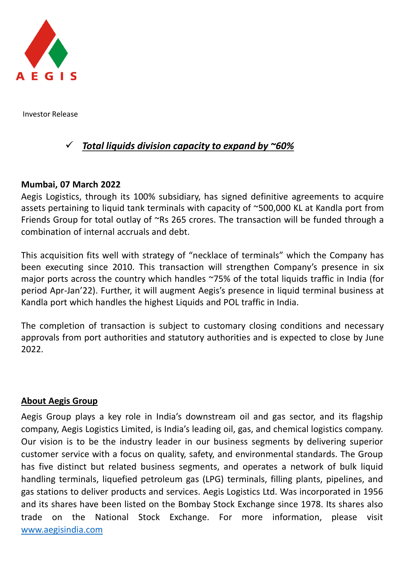

Investor Release

# ✓ *Total liquids division capacity to expand by ~60%*

## **Mumbai, 07 March 2022**

Aegis Logistics, through its 100% subsidiary, has signed definitive agreements to acquire assets pertaining to liquid tank terminals with capacity of ~500,000 KL at Kandla port from Friends Group for total outlay of ~Rs 265 crores. The transaction will be funded through a combination of internal accruals and debt.

This acquisition fits well with strategy of "necklace of terminals" which the Company has been executing since 2010. This transaction will strengthen Company's presence in six major ports across the country which handles ~75% of the total liquids traffic in India (for period Apr-Jan'22). Further, it will augment Aegis's presence in liquid terminal business at Kandla port which handles the highest Liquids and POL traffic in India.

The completion of transaction is subject to customary closing conditions and necessary approvals from port authorities and statutory authorities and is expected to close by June 2022.

#### **About Aegis Group**

Aegis Group plays a key role in India's downstream oil and gas sector, and its flagship company, Aegis Logistics Limited, is India's leading oil, gas, and chemical logistics company. Our vision is to be the industry leader in our business segments by delivering superior customer service with a focus on quality, safety, and environmental standards. The Group has five distinct but related business segments, and operates a network of bulk liquid handling terminals, liquefied petroleum gas (LPG) terminals, filling plants, pipelines, and gas stations to deliver products and services. Aegis Logistics Ltd. Was incorporated in 1956 and its shares have been listed on the Bombay Stock Exchange since 1978. Its shares also trade on the National Stock Exchange. For more information, please visit [www.aegisindia.com](http://www.aegisindia.com/)